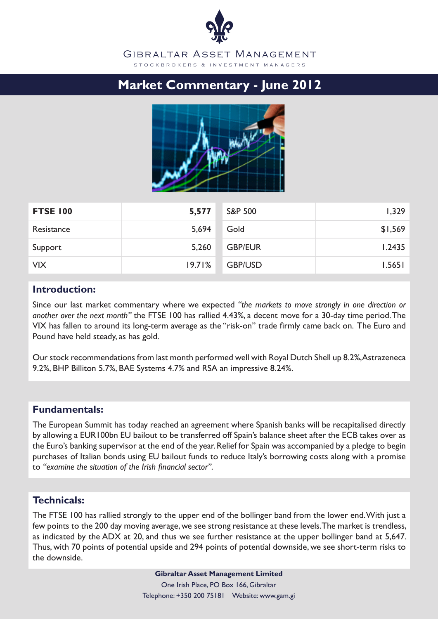# GIBRALTAR ASSET MANAGEMENT S T O C K B R O K E R S & IN V E S T M E N T M A N A G E R S

# **Market Commentary - June 2012**



| <b>FTSE 100</b> | 5,577  | <b>S&amp;P 500</b> | 1,329   |
|-----------------|--------|--------------------|---------|
| Resistance      | 5,694  | Gold               | \$1,569 |
| Support         | 5,260  | <b>GBP/EUR</b>     | 1.2435  |
| <b>VIX</b>      | 19.71% | <b>GBP/USD</b>     | 1.5651  |

## **Introduction:**

Since our last market commentary where we expected *"the markets to move strongly in one direction or another over the next month"* the FTSE 100 has rallied 4.43%, a decent move for a 30-day time period. The VIX has fallen to around its long-term average as the "risk-on" trade firmly came back on. The Euro and Pound have held steady, as has gold.

Our stock recommendations from last month performed well with Royal Dutch Shell up 8.2%, Astrazeneca 9.2%, BHP Billiton 5.7%, BAE Systems 4.7% and RSA an impressive 8.24%.

# **Fundamentals:**

The European Summit has today reached an agreement where Spanish banks will be recapitalised directly by allowing a EUR100bn EU bailout to be transferred off Spain's balance sheet after the ECB takes over as the Euro's banking supervisor at the end of the year. Relief for Spain was accompanied by a pledge to begin purchases of Italian bonds using EU bailout funds to reduce Italy's borrowing costs along with a promise to *"examine the situation of the Irish financial sector"*.

# **Technicals:**

The FTSE 100 has rallied strongly to the upper end of the bollinger band from the lower end. With just a few points to the 200 day moving average, we see strong resistance at these levels. The market is trendless, as indicated by the ADX at 20, and thus we see further resistance at the upper bollinger band at 5,647. Thus, with 70 points of potential upside and 294 points of potential downside, we see short-term risks to the downside.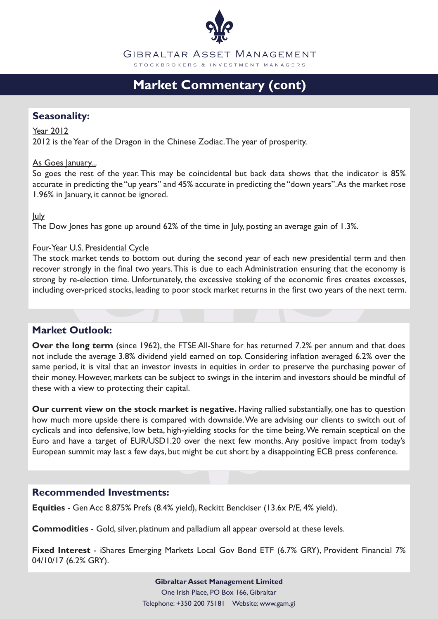

GIBRALTAR ASSET MANAGEMENT S T O C K B R O K E R S & IN V E S T M E N T M A N A G E R S

# **Market Commentary (cont)**

## **Seasonality:**

Year 2012

2012 is the Year of the Dragon in the Chinese Zodiac. The year of prosperity.

#### As Goes January...

So goes the rest of the year. This may be coincidental but back data shows that the indicator is 85% accurate in predicting the "up years" and 45% accurate in predicting the "down years". As the market rose 1.96% in January, it cannot be ignored.

July

The Dow Jones has gone up around 62% of the time in July, posting an average gain of 1.3%.

#### Four-Year U.S. Presidential Cycle

The stock market tends to bottom out during the second year of each new presidential term and then recover strongly in the final two years. This is due to each Administration ensuring that the economy is strong by re-election time. Unfortunately, the excessive stoking of the economic fires creates excesses, including over-priced stocks, leading to poor stock market returns in the first two years of the next term.

# **Market Outlook:**

**Over the long term** (since 1962), the FTSE All-Share for has returned 7.2% per annum and that does not include the average 3.8% dividend yield earned on top. Considering inflation averaged 6.2% over the same period, it is vital that an investor invests in equities in order to preserve the purchasing power of their money. However, markets can be subject to swings in the interim and investors should be mindful of these with a view to protecting their capital.

**Our current view on the stock market is negative.** Having rallied substantially, one has to question how much more upside there is compared with downside. We are advising our clients to switch out of cyclicals and into defensive, low beta, high-yielding stocks for the time being. We remain sceptical on the Euro and have a target of EUR/USD1.20 over the next few months. Any positive impact from today's European summit may last a few days, but might be cut short by a disappointing ECB press conference.

### **Recommended Investments:**

**Equities** - Gen Acc 8.875% Prefs (8.4% yield), Reckitt Benckiser (13.6x P/E, 4% yield).

**Commodities** - Gold, silver, platinum and palladium all appear oversold at these levels.

**Fixed Interest** - iShares Emerging Markets Local Gov Bond ETF (6.7% GRY), Provident Financial 7% 04/10/17 (6.2% GRY).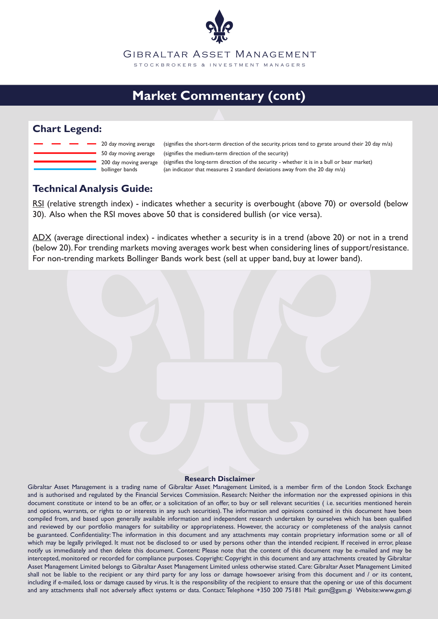

# **Market Commentary (cont)**

# **Chart Legend:**

|  |  | 20 day mov   |
|--|--|--------------|
|  |  | 50 day mov   |
|  |  | 200 day mo   |
|  |  | bollinger ba |

ing average ing average ving average ands (an indicator that measures 2 standard deviations away from the 20 day m/a) (signifies the long-term direction of the security - whether it is in a bull or bear market) (signifies the medium-term direction of the security) (signifies the short-term direction of the security. prices tend to gyrate around their 20 day m/a)

# **Technical Analysis Guide:**

RSI (relative strength index) - indicates whether a security is overbought (above 70) or oversold (below 30). Also when the RSI moves above 50 that is considered bullish (or vice versa).

ADX (average directional index) - indicates whether a security is in a trend (above 20) or not in a trend (below 20). For trending markets moving averages work best when considering lines of support/resistance. For non-trending markets Bollinger Bands work best (sell at upper band, buy at lower band).

#### **Research Disclaimer**

Gibraltar Asset Management is a trading name of Gibraltar Asset Management Limited, is a member firm of the London Stock Exchange and is authorised and regulated by the Financial Services Commission. Research: Neither the information nor the expressed opinions in this document constitute or intend to be an offer, or a solicitation of an offer, to buy or sell relevant securities (i.e. securities mentioned herein and options, warrants, or rights to or interests in any such securities). The information and opinions contained in this document have been compiled from, and based upon generally available information and independent research undertaken by ourselves which has been qualified and reviewed by our portfolio managers for suitability or appropriateness. However, the accuracy or completeness of the analysis cannot be guaranteed. Confidentiality: The information in this document and any attachments may contain proprietary information some or all of which may be legally privileged. It must not be disclosed to or used by persons other than the intended recipient. If received in error, please notify us immediately and then delete this document. Content: Please note that the content of this document may be e-mailed and may be intercepted, monitored or recorded for compliance purposes. Copyright: Copyright in this document and any attachments created by Gibraltar Asset Management Limited belongs to Gibraltar Asset Management Limited unless otherwise stated. Care: Gibraltar Asset Management Limited shall not be liable to the recipient or any third party for any loss or damage howsoever arising from this document and / or its content, including if e-mailed, loss or damage caused by virus. It is the responsibility of the recipient to ensure that the opening or use of this document and any attachments shall not adversely affect systems or data. Contact: Telephone +350 200 75181 Mail: gam@gam.gi Website:www.gam.gi